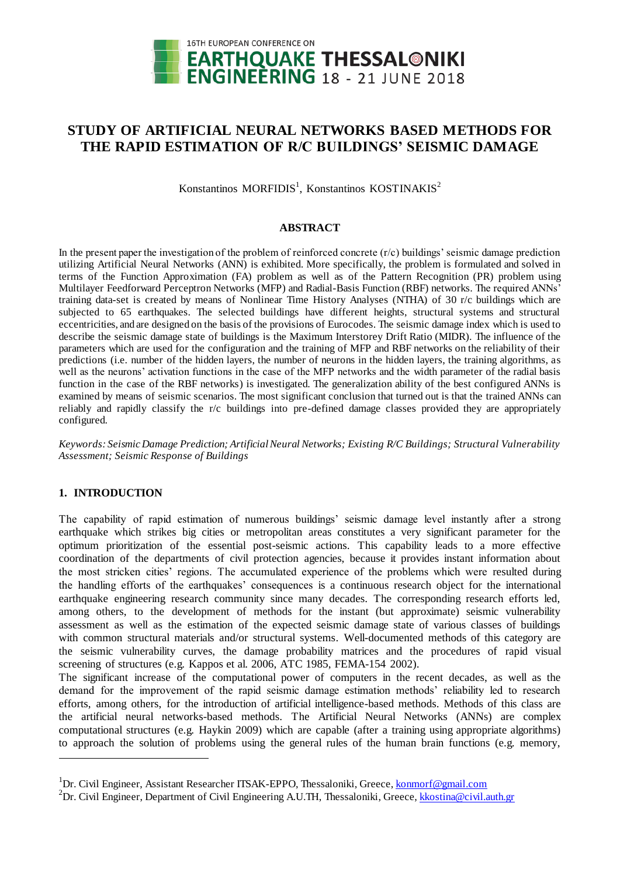

# **STUDY OF ARTIFICIAL NEURAL NETWORKS BASED METHODS FOR THE RAPID ESTIMATION OF R/C BUILDINGS' SEISMIC DAMAGE**

Konstantinos MORFIDIS<sup>1</sup>, Konstantinos KOSTINAKIS<sup>2</sup>

### **ABSTRACT**

In the present paper the investigation of the problem of reinforced concrete  $(r/c)$  buildings' seismic damage prediction utilizing Artificial Neural Networks (ANN) is exhibited. More specifically, the problem is formulated and solved in terms of the Function Approximation (FA) problem as well as of the Pattern Recognition (PR) problem using Multilayer Feedforward Perceptron Networks (MFP) and Radial-Basis Function (RBF) networks. The required ANNs' training data-set is created by means of Nonlinear Time History Analyses (NTHA) of 30 r/c buildings which are subjected to 65 earthquakes. The selected buildings have different heights, structural systems and structural eccentricities, and are designed on the basis of the provisions of Eurocodes. The seismic damage index which is used to describe the seismic damage state of buildings is the Maximum Interstorey Drift Ratio (MIDR). The influence of the parameters which are used for the configuration and the training of MFP and RBF networks on the reliability of their predictions (i.e. number of the hidden layers, the number of neurons in the hidden layers, the training algorithms, as well as the neurons' activation functions in the case of the MFP networks and the width parameter of the radial basis function in the case of the RBF networks) is investigated. The generalization ability of the best configured ANNs is examined by means of seismic scenarios. The most significant conclusion that turned out is that the trained ANNs can reliably and rapidly classify the r/c buildings into pre-defined damage classes provided they are appropriately configured.

*Keywords: Seismic Damage Prediction; Artificial Neural Networks; Existing R/C Buildings; Structural Vulnerability Assessment; Seismic Response of Buildings*

## **1. INTRODUCTION**

 $\overline{a}$ 

The capability of rapid estimation of numerous buildings' seismic damage level instantly after a strong earthquake which strikes big cities or metropolitan areas constitutes a very significant parameter for the optimum prioritization of the essential post-seismic actions. This capability leads to a more effective coordination of the departments of civil protection agencies, because it provides instant information about the most stricken cities' regions. The accumulated experience of the problems which were resulted during the handling efforts of the earthquakes' consequences is a continuous research object for the international earthquake engineering research community since many decades. The corresponding research efforts led, among others, to the development of methods for the instant (but approximate) seismic vulnerability assessment as well as the estimation of the expected seismic damage state of various classes of buildings with common structural materials and/or structural systems. Well-documented methods of this category are the seismic vulnerability curves, the damage probability matrices and the procedures of rapid visual screening of structures (e.g. Kappos et al. 2006, ATC 1985, FEMA-154 2002).

The significant increase of the computational power of computers in the recent decades, as well as the demand for the improvement of the rapid seismic damage estimation methods' reliability led to research efforts, among others, for the introduction of artificial intelligence-based methods. Methods of this class are the artificial neural networks-based methods. The Artificial Neural Networks (ANNs) are complex computational structures (e.g. Haykin 2009) which are capable (after a training using appropriate algorithms) to approach the solution of problems using the general rules of the human brain functions (e.g. memory,

<sup>&</sup>lt;sup>1</sup>Dr. Civil Engineer, Assistant Researcher ITSAK-EPPO, Thessaloniki, Greece, **konmorf@gmail.com** 

<sup>&</sup>lt;sup>2</sup>Dr. Civil Engineer, Department of Civil Engineering A.U.TH, Thessaloniki, Greece, kkostina@civil.auth.gr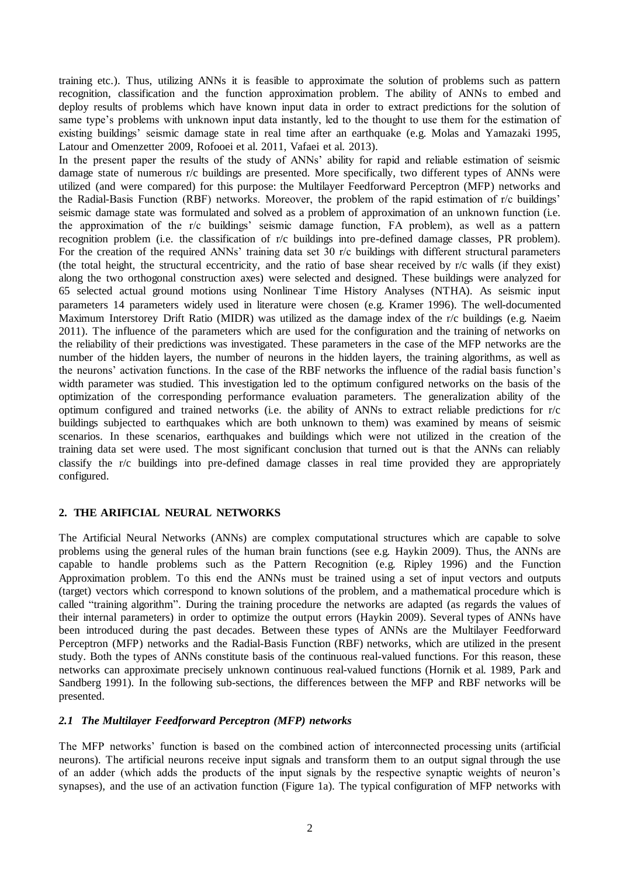training etc.). Thus, utilizing ANNs it is feasible to approximate the solution of problems such as pattern recognition, classification and the function approximation problem. The ability of ANNs to embed and deploy results of problems which have known input data in order to extract predictions for the solution of same type's problems with unknown input data instantly, led to the thought to use them for the estimation of existing buildings' seismic damage state in real time after an earthquake (e.g. Molas and Yamazaki 1995, Latour and Omenzetter 2009, Rofooei et al. 2011, Vafaei et al. 2013).

In the present paper the results of the study of ANNs' ability for rapid and reliable estimation of seismic damage state of numerous r/c buildings are presented. More specifically, two different types of ANNs were utilized (and were compared) for this purpose: the Multilayer Feedforward Perceptron (MFP) networks and the Radial-Basis Function (RBF) networks. Moreover, the problem of the rapid estimation of r/c buildings' seismic damage state was formulated and solved as a problem of approximation of an unknown function (i.e. the approximation of the r/c buildings' seismic damage function, FA problem), as well as a pattern recognition problem (i.e. the classification of r/c buildings into pre-defined damage classes, PR problem). For the creation of the required ANNs' training data set 30 r/c buildings with different structural parameters (the total height, the structural eccentricity, and the ratio of base shear received by r/c walls (if they exist) along the two orthogonal construction axes) were selected and designed. These buildings were analyzed for 65 selected actual ground motions using Nonlinear Time History Analyses (NTHA). As seismic input parameters 14 parameters widely used in literature were chosen (e.g. Kramer 1996). The well-documented Maximum Interstorey Drift Ratio (MIDR) was utilized as the damage index of the r/c buildings (e.g. Naeim 2011). The influence of the parameters which are used for the configuration and the training of networks on the reliability of their predictions was investigated. These parameters in the case of the MFP networks are the number of the hidden layers, the number of neurons in the hidden layers, the training algorithms, as well as the neurons' activation functions. In the case of the RBF networks the influence of the radial basis function's width parameter was studied. This investigation led to the optimum configured networks on the basis of the optimization of the corresponding performance evaluation parameters. The generalization ability of the optimum configured and trained networks (i.e. the ability of ANNs to extract reliable predictions for r/c buildings subjected to earthquakes which are both unknown to them) was examined by means of seismic scenarios. In these scenarios, earthquakes and buildings which were not utilized in the creation of the training data set were used. The most significant conclusion that turned out is that the ANNs can reliably classify the r/c buildings into pre-defined damage classes in real time provided they are appropriately configured.

## **2. THE ARIFICIAL NEURAL NETWORKS**

The Artificial Neural Networks (ANNs) are complex computational structures which are capable to solve problems using the general rules of the human brain functions (see e.g. Haykin 2009). Thus, the ANNs are capable to handle problems such as the Pattern Recognition (e.g. Ripley 1996) and the Function Approximation problem. To this end the ANNs must be trained using a set of input vectors and outputs (target) vectors which correspond to known solutions of the problem, and a mathematical procedure which is called "training algorithm". During the training procedure the networks are adapted (as regards the values of their internal parameters) in order to optimize the output errors (Haykin 2009). Several types of ANNs have been introduced during the past decades. Between these types of ANNs are the Multilayer Feedforward Perceptron (MFP) networks and the Radial-Basis Function (RBF) networks, which are utilized in the present study. Both the types of ANNs constitute basis of the continuous real-valued functions. For this reason, these networks can approximate precisely unknown continuous real-valued functions (Hornik et al. 1989, Park and Sandberg 1991). In the following sub-sections, the differences between the MFP and RBF networks will be presented.

### *2.1 The Multilayer Feedforward Perceptron (MFP) networks*

The MFP networks' function is based on the combined action of interconnected processing units (artificial neurons). The artificial neurons receive input signals and transform them to an output signal through the use of an adder (which adds the products of the input signals by the respective synaptic weights of neuron's synapses), and the use of an activation function (Figure 1a). The typical configuration of MFP networks with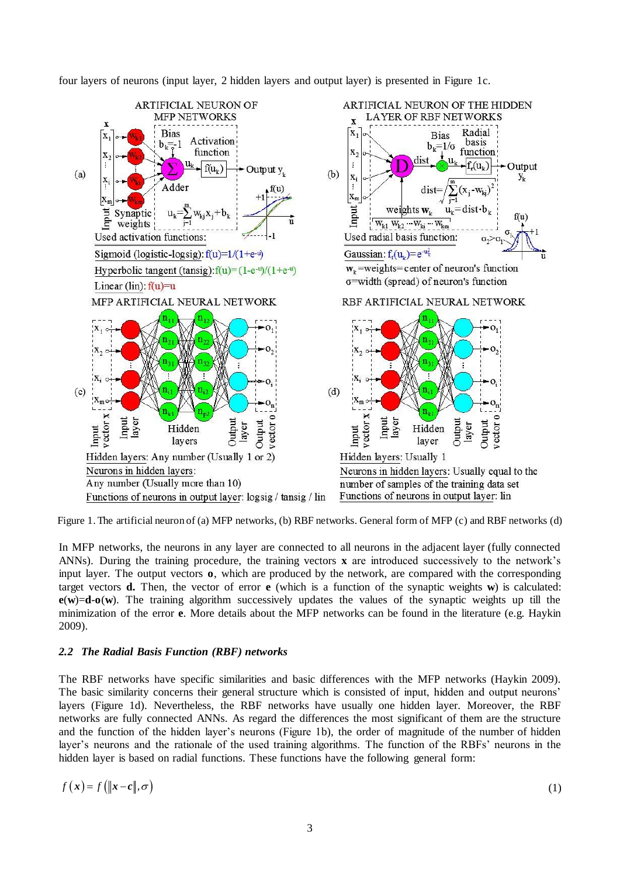four layers of neurons (input layer, 2 hidden layers and output layer) is presented in Figure 1c.



Figure 1. The artificial neuron of (a) MFP networks, (b) RBF networks. General form of MFP (c) and RBF networks (d)

In MFP networks, the neurons in any layer are connected to all neurons in the adjacent layer (fully connected ANNs). During the training procedure, the training vectors **x** are introduced successively to the network's input layer. The output vectors **o**, which are produced by the network, are compared with the corresponding target vectors **d.** Then, the vector of error **e** (which is a function of the synaptic weights **w**) is calculated:  $e(w)=d-o(w)$ . The training algorithm successively updates the values of the synaptic weights up till the minimization of the error **e**. More details about the MFP networks can be found in the literature (e.g. Haykin 2009).

### *2.2 The Radial Basis Function (RBF) networks*

The RBF networks have specific similarities and basic differences with the MFP networks (Haykin 2009). The basic similarity concerns their general structure which is consisted of input, hidden and output neurons' layers (Figure 1d). Nevertheless, the RBF networks have usually one hidden layer. Moreover, the RBF networks are fully connected ANNs. As regard the differences the most significant of them are the structure and the function of the hidden layer's neurons (Figure 1b), the order of magnitude of the number of hidden layer's neurons and the rationale of the used training algorithms. The function of the RBFs' neurons in the hidden layer is based on radial functions. These functions have the following general form:

$$
f(x) = f\left(\|x - c\|, \sigma\right) \tag{1}
$$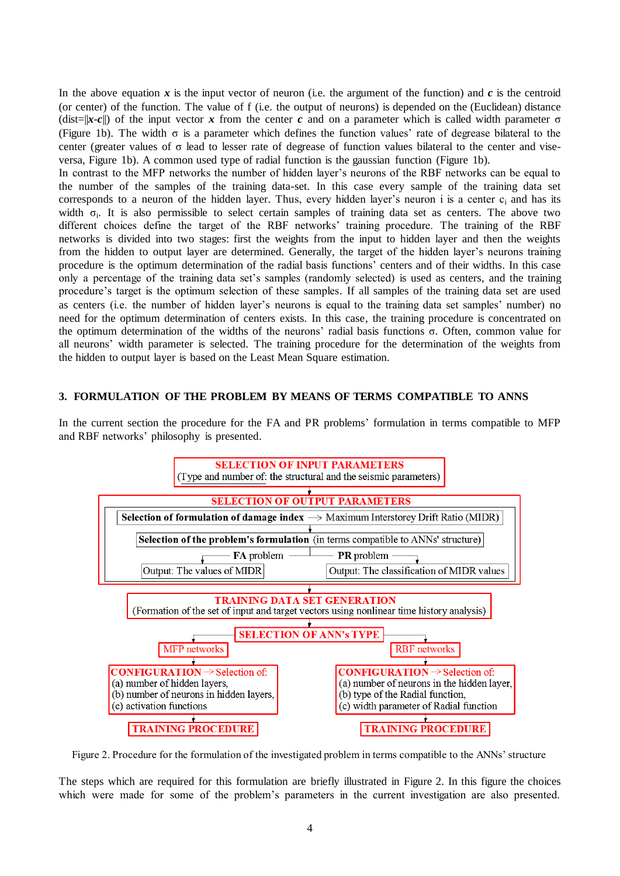In the above equation  $x$  is the input vector of neuron (i.e. the argument of the function) and  $c$  is the centroid (or center) of the function. The value of f (i.e. the output of neurons) is depended on the (Euclidean) distance (dist= $||x-c||$ ) of the input vector *x* from the center *c* and on a parameter which is called width parameter  $\sigma$ (Figure 1b). The width  $\sigma$  is a parameter which defines the function values' rate of degrease bilateral to the center (greater values of σ lead to lesser rate of degrease of function values bilateral to the center and viseversa, Figure 1b). A common used type of radial function is the gaussian function (Figure 1b).

In contrast to the MFP networks the number of hidden layer's neurons of the RBF networks can be equal to the number of the samples of the training data-set. In this case every sample of the training data set corresponds to a neuron of the hidden layer. Thus, every hidden layer's neuron i is a center  $c_i$  and has its width  $\sigma_i$ . It is also permissible to select certain samples of training data set as centers. The above two different choices define the target of the RBF networks' training procedure. The training of the RBF networks is divided into two stages: first the weights from the input to hidden layer and then the weights from the hidden to output layer are determined. Generally, the target of the hidden layer's neurons training procedure is the optimum determination of the radial basis functions' centers and of their widths. In this case only a percentage of the training data set's samples (randomly selected) is used as centers, and the training procedure's target is the optimum selection of these samples. If all samples of the training data set are used as centers (i.e. the number of hidden layer's neurons is equal to the training data set samples' number) no need for the optimum determination of centers exists. In this case, the training procedure is concentrated on the optimum determination of the widths of the neurons' radial basis functions σ. Often, common value for all neurons' width parameter is selected. The training procedure for the determination of the weights from the hidden to output layer is based on the Least Mean Square estimation.

## **3. FORMULATION OF THE PROBLEM BY MEANS OF TERMS COMPATIBLE TO ANNS**

In the current section the procedure for the FA and PR problems' formulation in terms compatible to MFP and RBF networks' philosophy is presented.



Figure 2. Procedure for the formulation of the investigated problem in terms compatible to the ANNs' structure

The steps which are required for this formulation are briefly illustrated in Figure 2. In this figure the choices which were made for some of the problem's parameters in the current investigation are also presented.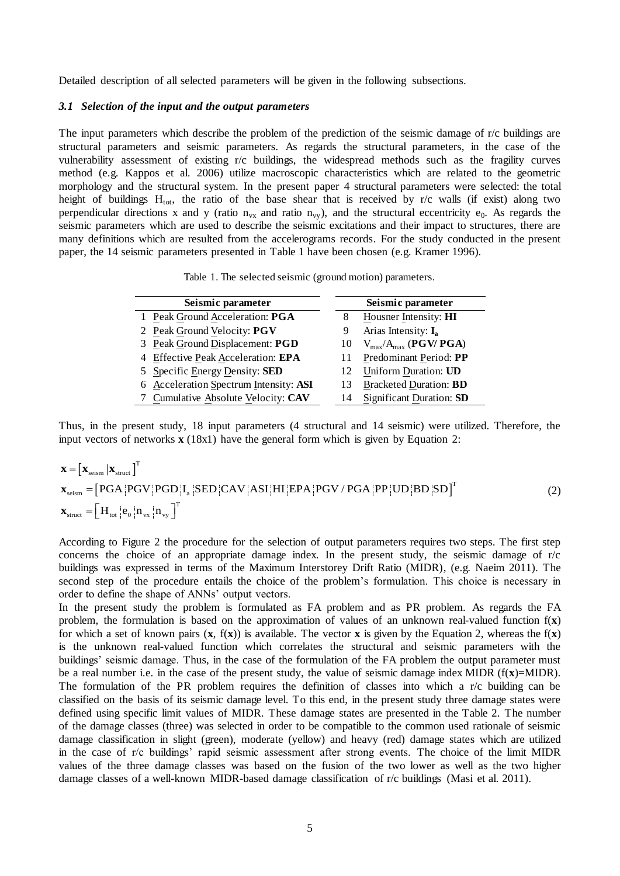Detailed description of all selected parameters will be given in the following subsections.

#### *3.1 Selection of the input and the output parameters*

The input parameters which describe the problem of the prediction of the seismic damage of r/c buildings are structural parameters and seismic parameters. As regards the structural parameters, in the case of the vulnerability assessment of existing r/c buildings, the widespread methods such as the fragility curves method (e.g. Kappos et al. 2006) utilize macroscopic characteristics which are related to the geometric morphology and the structural system. In the present paper 4 structural parameters were selected: the total height of buildings  $H_{tot}$ , the ratio of the base shear that is received by r/c walls (if exist) along two perpendicular directions x and y (ratio  $n_{vx}$  and ratio  $n_{vv}$ ), and the structural eccentricity  $e_0$ . As regards the seismic parameters which are used to describe the seismic excitations and their impact to structures, there are many definitions which are resulted from the accelerograms records. For the study conducted in the present paper, the 14 seismic parameters presented in Table 1 have been chosen (e.g. Kramer 1996).

Table 1. The selected seismic (ground motion) parameters.

| Seismic parameter                      | Seismic parameter |                               |  |  |
|----------------------------------------|-------------------|-------------------------------|--|--|
| 1 Peak Ground Acceleration: PGA        | 8                 | Housner Intensity: HI         |  |  |
| 2 Peak Ground Velocity: PGV            |                   | Arias Intensity: $I_a$        |  |  |
| 3 Peak Ground Displacement: PGD        | 10                | $V_{max}/A_{max}$ (PGV/ PGA)  |  |  |
| 4 Effective Peak Acceleration: EPA     |                   | Predominant Period: PP        |  |  |
| 5 Specific Energy Density: SED         | 12                | Uniform Duration: UD          |  |  |
| 6 Acceleration Spectrum Intensity: ASI | 13                | <b>Bracketed Duration: BD</b> |  |  |
| 7 Cumulative Absolute Velocity: CAV    | 14                | Significant Duration: SD      |  |  |

Thus, in the present study, 18 input parameters (4 structural and 14 seismic) were utilized. Therefore, the input vectors of networks **x** (18x1) have the general form which is given by Equation 2:<br> **x** =  $\left[\mathbf{x}_{\text{seism}} | \math$ input vectors of networks  $\mathbf{x}$  (18x1) have the general form which is given by Equation 2:

input vectors of networks **x** (18x1) have the general form which is given by Equation 2.  
\n
$$
\mathbf{x} = [\mathbf{x}_{\text{seism}} | \mathbf{x}_{\text{struct}} ]^T
$$
\n
$$
\mathbf{x}_{\text{seism}} = [PGA | PGV | PGD | I_a | SED | CAV | ASI | HI | EPA | PGV / PGA | PP | UD | BD | SD ]^T
$$
\n
$$
\mathbf{x}_{\text{struct}} = [H_{\text{tot}} | e_0 | n_{\text{vx}} | n_{\text{vy}} ]^T
$$
\n(2)

According to Figure 2 the procedure for the selection of output parameters requires two steps. The first step concerns the choice of an appropriate damage index. In the present study, the seismic damage of  $r/c$ buildings was expressed in terms of the Maximum Interstorey Drift Ratio (MIDR), (e.g. Naeim 2011). The second step of the procedure entails the choice of the problem's formulation. This choice is necessary in order to define the shape of ANNs' output vectors.

In the present study the problem is formulated as FA problem and as PR problem. As regards the FA problem, the formulation is based on the approximation of values of an unknown real-valued function f(**x**) for which a set of known pairs  $(\mathbf{x}, f(\mathbf{x}))$  is available. The vector **x** is given by the Equation 2, whereas the  $f(\mathbf{x})$ is the unknown real-valued function which correlates the structural and seismic parameters with the buildings' seismic damage. Thus, in the case of the formulation of the FA problem the output parameter must be a real number i.e. in the case of the present study, the value of seismic damage index MIDR (f(**x**)=MIDR). The formulation of the PR problem requires the definition of classes into which a r/c building can be classified on the basis of its seismic damage level. To this end, in the present study three damage states were defined using specific limit values of MIDR. These damage states are presented in the Table 2. The number of the damage classes (three) was selected in order to be compatible to the common used rationale of seismic damage classification in slight (green), moderate (yellow) and heavy (red) damage states which are utilized in the case of r/c buildings' rapid seismic assessment after strong events. The choice of the limit MIDR values of the three damage classes was based on the fusion of the two lower as well as the two higher damage classes of a well-known MIDR-based damage classification of r/c buildings (Masi et al. 2011).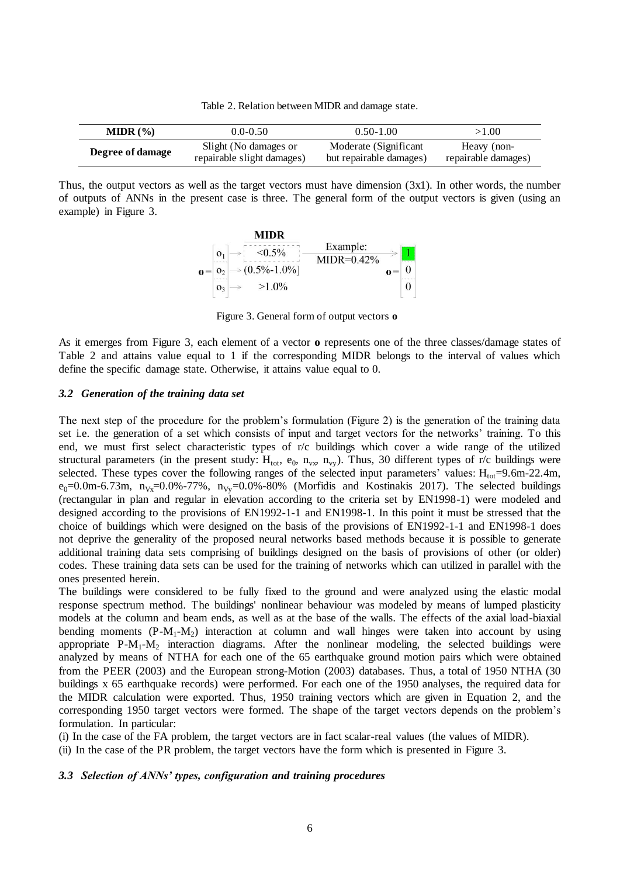Table 2. Relation between MIDR and damage state.

| MIDR (%)         | $0.0 - 0.50$               | $0.50 - 1.00$           | >1.00               |
|------------------|----------------------------|-------------------------|---------------------|
| Degree of damage | Slight (No damages or      | Moderate (Significant   | Heavy (non-         |
|                  | repairable slight damages) | but repairable damages) | repairable damages) |

Thus, the output vectors as well as the target vectors must have dimension (3x1). In other words, the number of outputs of ANNs in the present case is three. The general form of the output vectors is given (using an example) in Figure 3.



Figure 3. General form of output vectors **o**

As it emerges from Figure 3, each element of a vector **o** represents one of the three classes/damage states of Table 2 and attains value equal to 1 if the corresponding MIDR belongs to the interval of values which define the specific damage state. Otherwise, it attains value equal to 0.

#### *3.2 Generation of the training data set*

The next step of the procedure for the problem's formulation (Figure 2) is the generation of the training data set i.e. the generation of a set which consists of input and target vectors for the networks' training. To this end, we must first select characteristic types of r/c buildings which cover a wide range of the utilized structural parameters (in the present study:  $H_{tot}$ ,  $e_0$ ,  $n_{vx}$ ,  $n_{vy}$ ). Thus, 30 different types of r/c buildings were selected. These types cover the following ranges of the selected input parameters' values:  $H_{\text{tot}}$ =9.6m-22.4m,  $e_0=0.0$ m-6.73m, n<sub>Vx</sub>=0.0%-77%, n<sub>Vy</sub>=0.0%-80% (Morfidis and Kostinakis 2017). The selected buildings (rectangular in plan and regular in elevation according to the criteria set by EN1998-1) were modeled and designed according to the provisions of EN1992-1-1 and EN1998-1. In this point it must be stressed that the choice of buildings which were designed on the basis of the provisions of EN1992-1-1 and EN1998-1 does not deprive the generality of the proposed neural networks based methods because it is possible to generate additional training data sets comprising of buildings designed on the basis of provisions of other (or older) codes. These training data sets can be used for the training of networks which can utilized in parallel with the ones presented herein.

The buildings were considered to be fully fixed to the ground and were analyzed using the elastic modal response spectrum method. Τhe buildings' nonlinear behaviour was modeled by means of lumped plasticity models at the column and beam ends, as well as at the base of the walls. The effects of the axial load-biaxial bending moments  $(P-M_1-M_2)$  interaction at column and wall hinges were taken into account by using appropriate  $P - M_1 - M_2$  interaction diagrams. After the nonlinear modeling, the selected buildings were analyzed by means of NTHA for each one of the 65 earthquake ground motion pairs which were obtained from the PEER (2003) and the European strong-Motion (2003) databases. Thus, a total of 1950 NTHA (30 buildings x 65 earthquake records) were performed. For each one of the 1950 analyses, the required data for the MIDR calculation were exported. Thus, 1950 training vectors which are given in Equation 2, and the corresponding 1950 target vectors were formed. The shape of the target vectors depends on the problem's formulation. In particular:

(i) In the case of the FA problem, the target vectors are in fact scalar-real values (the values of MIDR).

(ii) In the case of the PR problem, the target vectors have the form which is presented in Figure 3.

#### *3.3 Selection of ANNs' types, configuration and training procedures*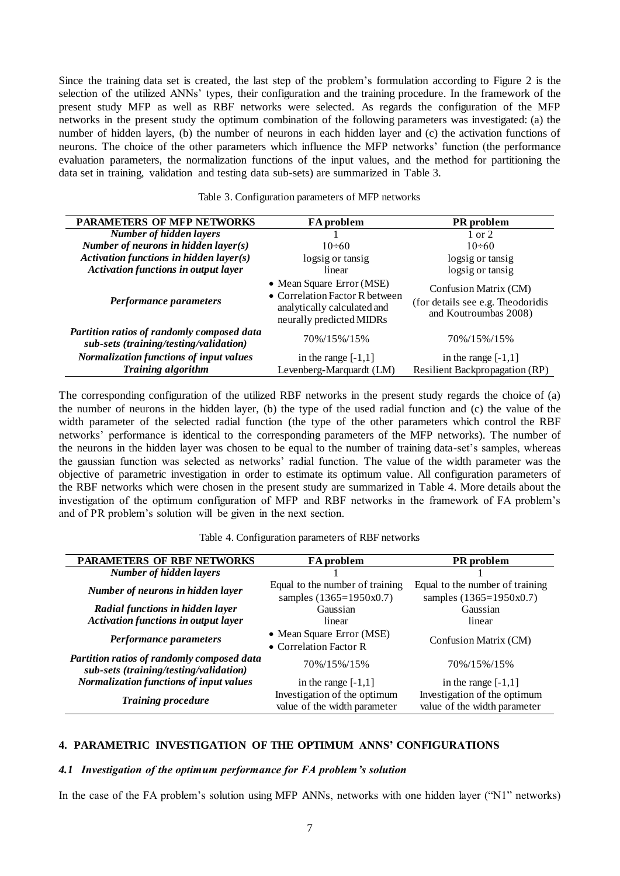Since the training data set is created, the last step of the problem's formulation according to Figure 2 is the selection of the utilized ANNs' types, their configuration and the training procedure. In the framework of the present study MFP as well as RBF networks were selected. As regards the configuration of the MFP networks in the present study the optimum combination of the following parameters was investigated: (a) the number of hidden layers, (b) the number of neurons in each hidden layer and (c) the activation functions of neurons. The choice of the other parameters which influence the MFP networks' function (the performance evaluation parameters, the normalization functions of the input values, and the method for partitioning the data set in training, validation and testing data sub-sets) are summarized in Table 3.

| <b>PARAMETERS OF MFP NETWORKS</b>                                                           | FA problem                                                                                                             | <b>PR</b> problem                                                                   |  |
|---------------------------------------------------------------------------------------------|------------------------------------------------------------------------------------------------------------------------|-------------------------------------------------------------------------------------|--|
| <b>Number of hidden layers</b>                                                              |                                                                                                                        | $1 \text{ or } 2$                                                                   |  |
| Number of neurons in hidden layer(s)                                                        | $10 \div 60$                                                                                                           | $10 \div 60$                                                                        |  |
| Activation functions in hidden layer(s)                                                     | logsig or tansig                                                                                                       | logsig or tansig                                                                    |  |
| <b>Activation functions in output layer</b>                                                 | linear                                                                                                                 | logsig or tansig                                                                    |  |
| Performance parameters                                                                      | • Mean Square Error (MSE)<br>• Correlation Factor R between<br>analytically calculated and<br>neurally predicted MIDRs | Confusion Matrix (CM)<br>(for details see e.g. Theodoridis<br>and Koutroumbas 2008) |  |
| <b>Partition ratios of randomly composed data</b><br>sub-sets (training/testing/validation) | 70%/15%/15%                                                                                                            | 70%/15%/15%                                                                         |  |
| Normalization functions of input values                                                     | in the range $[-1,1]$                                                                                                  | in the range $[-1,1]$                                                               |  |
| <b>Training algorithm</b>                                                                   | Levenberg-Marquardt (LM)                                                                                               | Resilient Backpropagation (RP)                                                      |  |

Table 3. Configuration parameters of MFP networks

The corresponding configuration of the utilized RBF networks in the present study regards the choice of (a) the number of neurons in the hidden layer, (b) the type of the used radial function and (c) the value of the width parameter of the selected radial function (the type of the other parameters which control the RBF networks' performance is identical to the corresponding parameters of the MFP networks). The number of the neurons in the hidden layer was chosen to be equal to the number of training data-set's samples, whereas the gaussian function was selected as networks' radial function. The value of the width parameter was the objective of parametric investigation in order to estimate its optimum value. All configuration parameters of the RBF networks which were chosen in the present study are summarized in Table 4. More details about the investigation of the optimum configuration of MFP and RBF networks in the framework of FA problem's and of PR problem's solution will be given in the next section.

| <b>PARAMETERS OF RBF NETWORKS</b>                                                    | <b>FA</b> problem                                            | PR problem                                                   |  |  |
|--------------------------------------------------------------------------------------|--------------------------------------------------------------|--------------------------------------------------------------|--|--|
| <b>Number of hidden layers</b>                                                       |                                                              |                                                              |  |  |
| Number of neurons in hidden layer                                                    | Equal to the number of training                              | Equal to the number of training                              |  |  |
|                                                                                      | samples (1365=1950x0.7)                                      | samples (1365=1950x0.7)                                      |  |  |
| Radial functions in hidden layer                                                     | Gaussian                                                     | Gaussian                                                     |  |  |
| <b>Activation functions in output layer</b>                                          | linear                                                       | linear                                                       |  |  |
| Performance parameters                                                               | • Mean Square Error (MSE)                                    | Confusion Matrix (CM)                                        |  |  |
|                                                                                      | • Correlation Factor R                                       |                                                              |  |  |
| Partition ratios of randomly composed data<br>sub-sets (training/testing/validation) | 70%/15%/15%                                                  | 70%/15%/15%                                                  |  |  |
| <b>Normalization functions of input values</b>                                       | in the range $[-1,1]$                                        | in the range $[-1,1]$                                        |  |  |
| <b>Training procedure</b>                                                            | Investigation of the optimum<br>value of the width parameter | Investigation of the optimum<br>value of the width parameter |  |  |

Table 4. Configuration parameters of RBF networks

## **4. PARAMETRIC INVESTIGATION OF THE OPTIMUM ANNS' CONFIGURATIONS**

#### *4.1 Investigation of the optimum performance for FA problem's solution*

In the case of the FA problem's solution using MFP ANNs, networks with one hidden layer ("N1" networks)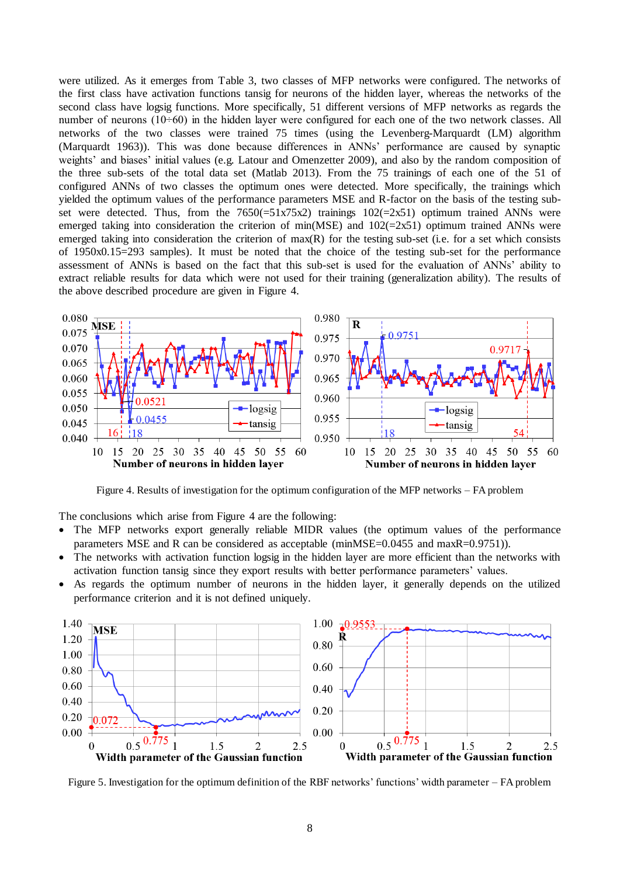were utilized. As it emerges from Table 3, two classes of MFP networks were configured. The networks of the first class have activation functions tansig for neurons of the hidden layer, whereas the networks of the second class have logsig functions. More specifically, 51 different versions of MFP networks as regards the number of neurons (10÷60) in the hidden layer were configured for each one of the two network classes. All networks of the two classes were trained 75 times (using the Levenberg-Marquardt (LM) algorithm (Marquardt 1963)). This was done because differences in ANNs' performance are caused by synaptic weights' and biases' initial values (e.g. Latour and Omenzetter 2009), and also by the random composition of the three sub-sets of the total data set (Matlab 2013). From the 75 trainings of each one of the 51 of configured ANNs of two classes the optimum ones were detected. More specifically, the trainings which yielded the optimum values of the performance parameters MSE and R-factor on the basis of the testing subset were detected. Thus, from the  $7650(-51x75x2)$  trainings  $102(-2x51)$  optimum trained ANNs were emerged taking into consideration the criterion of min(MSE) and  $102(=2x51)$  optimum trained ANNs were emerged taking into consideration the criterion of max(R) for the testing sub-set (i.e. for a set which consists of 1950x0.15=293 samples). It must be noted that the choice of the testing sub-set for the performance assessment of ANNs is based on the fact that this sub-set is used for the evaluation of ANNs' ability to extract reliable results for data which were not used for their training (generalization ability). The results of the above described procedure are given in Figure 4.



Figure 4. Results of investigation for the optimum configuration of the MFP networks – FA problem

The conclusions which arise from Figure 4 are the following:

- The MFP networks export generally reliable MIDR values (the optimum values of the performance parameters MSE and R can be considered as acceptable (minMSE=0.0455 and maxR=0.9751)).
- The networks with activation function logsig in the hidden layer are more efficient than the networks with activation function tansig since they export results with better performance parameters' values.
- As regards the optimum number of neurons in the hidden layer, it generally depends on the utilized performance criterion and it is not defined uniquely.



Figure 5. Investigation for the optimum definition of the RBF networks' functions' width parameter – FA problem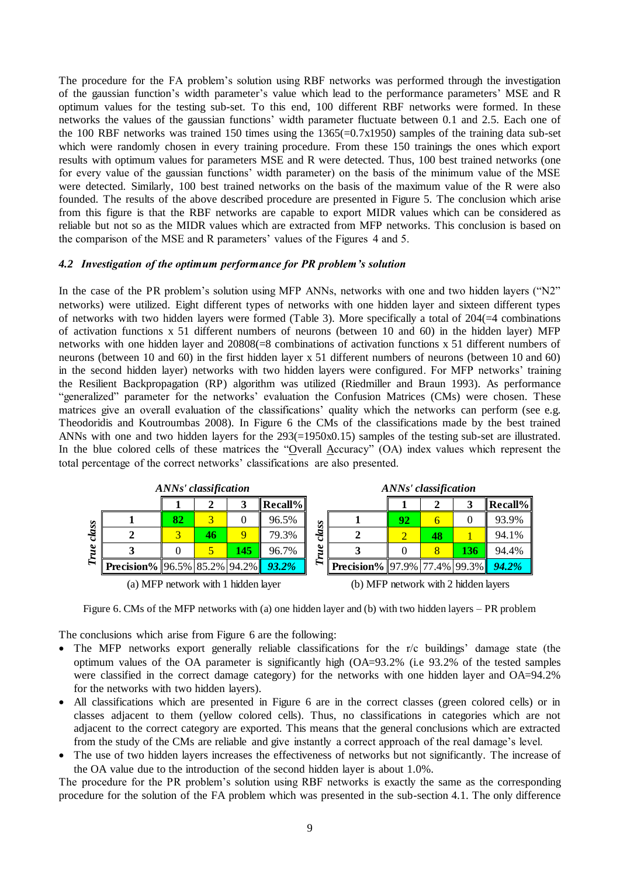The procedure for the FA problem's solution using RBF networks was performed through the investigation of the gaussian function's width parameter's value which lead to the performance parameters' MSE and R optimum values for the testing sub-set. To this end, 100 different RBF networks were formed. In these networks the values of the gaussian functions' width parameter fluctuate between 0.1 and 2.5. Each one of the 100 RBF networks was trained 150 times using the 1365(=0.7x1950) samples of the training data sub-set which were randomly chosen in every training procedure. From these 150 trainings the ones which export results with optimum values for parameters MSE and R were detected. Thus, 100 best trained networks (one for every value of the gaussian functions' width parameter) on the basis of the minimum value of the MSE were detected. Similarly, 100 best trained networks on the basis of the maximum value of the R were also founded. The results of the above described procedure are presented in Figure 5. The conclusion which arise from this figure is that the RBF networks are capable to export MIDR values which can be considered as reliable but not so as the MIDR values which are extracted from MFP networks. This conclusion is based on the comparison of the MSE and R parameters' values of the Figures 4 and 5.

#### *4.2 Investigation of the optimum performance for PR problem's solution*

In the case of the PR problem's solution using MFP ANNs, networks with one and two hidden layers ("N2" networks) were utilized. Eight different types of networks with one hidden layer and sixteen different types of networks with two hidden layers were formed (Table 3). More specifically a total of  $204(=4)$  combinations of activation functions x 51 different numbers of neurons (between 10 and 60) in the hidden layer) MFP networks with one hidden layer and 20808(=8 combinations of activation functions x 51 different numbers of neurons (between 10 and 60) in the first hidden layer x 51 different numbers of neurons (between 10 and 60) in the second hidden layer) networks with two hidden layers were configured. For MFP networks' training the Resilient Backpropagation (RP) algorithm was utilized (Riedmiller and Braun 1993). As performance "generalized" parameter for the networks' evaluation the Confusion Matrices (CMs) were chosen. These matrices give an overall evaluation of the classifications' quality which the networks can perform (see e.g. Theodoridis and Koutroumbas 2008). In Figure 6 the CMs of the classifications made by the best trained ANNs with one and two hidden layers for the 293(=1950x0.15) samples of the testing sub-set are illustrated. In the blue colored cells of these matrices the "Overall Accuracy" (OA) index values which represent the total percentage of the correct networks' classifications are also presented.

|       | ANNs' classification                             |    |    |             |            |              | ANNs' classification                             |    |    |     |            |
|-------|--------------------------------------------------|----|----|-------------|------------|--------------|--------------------------------------------------|----|----|-----|------------|
|       |                                                  |    |    |             | $Recall\%$ |              |                                                  |    |    |     | $Recall\%$ |
|       |                                                  | 82 |    |             | 96.5%      | $\mathbf{S}$ |                                                  | 92 | h  |     | 93.9%      |
| class |                                                  |    | 46 | $\mathbf Q$ | 79.3%      | cla          |                                                  |    | 48 |     | 94.1%      |
| True  |                                                  |    |    | 145         | 96.7%      |              |                                                  |    |    | 136 | 94.4%      |
|       | <b>Precision%</b> 96.5% 85.2% 94.2% <b>93.2%</b> |    |    |             |            | R            | <b>Precision%</b> 97.9% 77.4% 99.3% <b>94.2%</b> |    |    |     |            |
|       | (a) MFP network with 1 hidden layer              |    |    |             |            |              | (b) MFP network with 2 hidden layers             |    |    |     |            |

Figure 6. CMs of the MFP networks with (a) one hidden layer and (b) with two hidden layers – PR problem

The conclusions which arise from Figure 6 are the following:

- The MFP networks export generally reliable classifications for the r/c buildings' damage state (the optimum values of the OA parameter is significantly high (OA=93.2% (i.e 93.2% of the tested samples were classified in the correct damage category) for the networks with one hidden layer and OA=94.2% for the networks with two hidden layers).
- All classifications which are presented in Figure 6 are in the correct classes (green colored cells) or in classes adjacent to them (yellow colored cells). Thus, no classifications in categories which are not adjacent to the correct category are exported. This means that the general conclusions which are extracted from the study of the CMs are reliable and give instantly a correct approach of the real damage's level.
- The use of two hidden layers increases the effectiveness of networks but not significantly. The increase of the OA value due to the introduction of the second hidden layer is about 1.0%.

The procedure for the PR problem's solution using RBF networks is exactly the same as the corresponding procedure for the solution of the FA problem which was presented in the sub-section 4.1. The only difference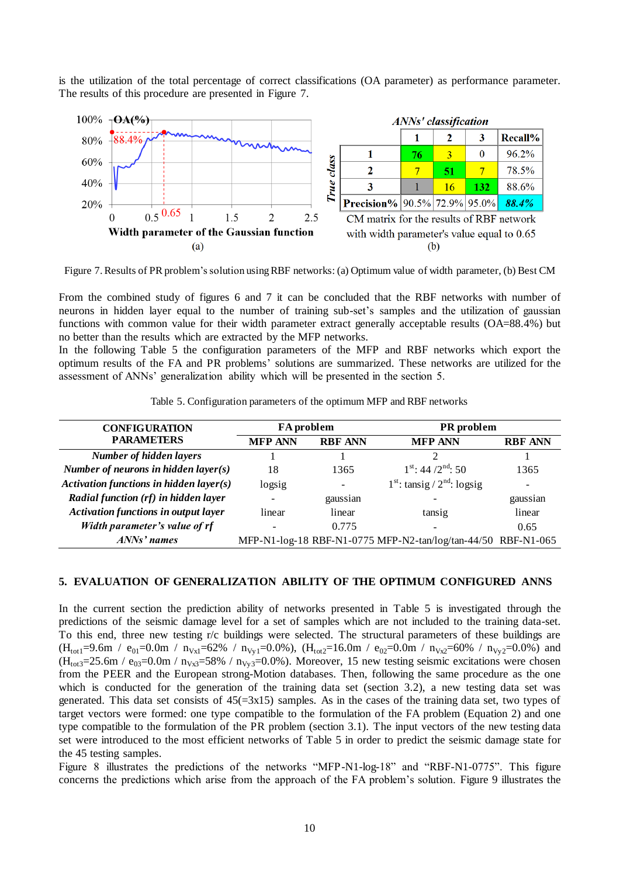is the utilization of the total percentage of correct classifications (OA parameter) as performance parameter. The results of this procedure are presented in Figure 7.



Figure 7. Results of PR problem's solution using RBF networks: (a) Optimum value of width parameter, (b) Best CM

From the combined study of figures 6 and 7 it can be concluded that the RBF networks with number of neurons in hidden layer equal to the number of training sub-set's samples and the utilization of gaussian functions with common value for their width parameter extract generally acceptable results (OA=88.4%) but no better than the results which are extracted by the MFP networks.

In the following Table 5 the configuration parameters of the MFP and RBF networks which export the optimum results of the FA and PR problems' solutions are summarized. These networks are utilized for the assessment of ANNs' generalization ability which will be presented in the section 5.

Table 5. Configuration parameters of the optimum MFP and RBF networks

| <b>CONFIGURATION</b>                        | <b>FA</b> problem |                          | PR problem                                                    |                |  |
|---------------------------------------------|-------------------|--------------------------|---------------------------------------------------------------|----------------|--|
| <b>PARAMETERS</b>                           | <b>MFP ANN</b>    | <b>RBF ANN</b>           | <b>MFP ANN</b>                                                | <b>RBF ANN</b> |  |
| <b>Number of hidden layers</b>              |                   |                          |                                                               |                |  |
| Number of neurons in hidden layer $(s)$     | 18                | 1365                     | $1^{\text{st}}$ : 44/2 <sup>nd</sup> : 50                     | 1365           |  |
| Activation functions in hidden layer(s)     | logsig            | $\overline{\phantom{a}}$ | $1st$ : tansig / $2nd$ : logsig                               |                |  |
| Radial function (rf) in hidden layer        |                   | gaussian                 |                                                               | gaussian       |  |
| <b>Activation functions in output layer</b> | linear            | linear                   | tansig                                                        | linear         |  |
| Width parameter's value of rf               |                   | 0.775                    |                                                               | 0.65           |  |
| $ANNs'$ names                               |                   |                          | MFP-N1-log-18 RBF-N1-0775 MFP-N2-tan/log/tan-44/50 RBF-N1-065 |                |  |

#### **5. EVALUATION OF GENERALIZATION ABILITY OF THE OPTIMUM CONFIGURED ANNS**

In the current section the prediction ability of networks presented in Table 5 is investigated through the predictions of the seismic damage level for a set of samples which are not included to the training data-set. To this end, three new testing r/c buildings were selected. The structural parameters of these buildings are  $(H_{tot1}=9.6m / e_{01}=0.0m / n_{Vx1}=62\% / n_{Vy1}=0.0\%)$ ,  $(H_{tot2}=16.0m / e_{02}=0.0m / n_{Vx2}=60\% / n_{Vy2}=0.0\%)$  and  $(H_{\text{tot3}}=25.6\text{m}$  / e<sub>03</sub>=0.0m / n<sub>Vx3</sub>=58% / n<sub>Vy3</sub>=0.0%). Moreover, 15 new testing seismic excitations were chosen from the PEER and the European strong-Motion databases. Then, following the same procedure as the one which is conducted for the generation of the training data set (section 3.2), a new testing data set was generated. This data set consists of  $45(=\frac{3x15}{9})$  samples. As in the cases of the training data set, two types of target vectors were formed: one type compatible to the formulation of the FA problem (Equation 2) and one type compatible to the formulation of the PR problem (section 3.1). The input vectors of the new testing data set were introduced to the most efficient networks of Table 5 in order to predict the seismic damage state for the 45 testing samples.

Figure 8 illustrates the predictions of the networks "MFP-N1-log-18" and "RBF-N1-0775". This figure concerns the predictions which arise from the approach of the FA problem's solution. Figure 9 illustrates the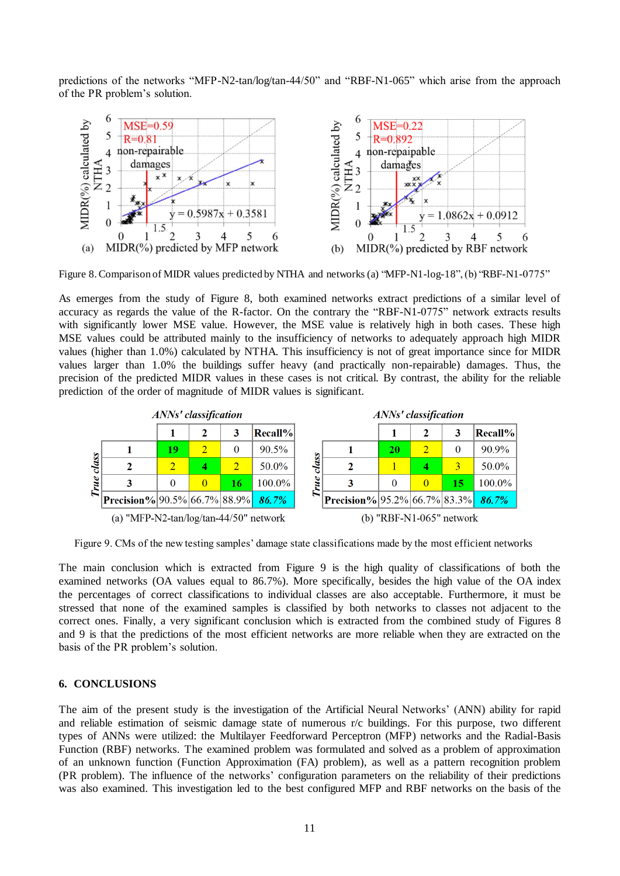predictions of the networks "MFP-N2-tan/log/tan-44/50" and "RBF-N1-065" which arise from the approach of the PR problem's solution.



Figure 8. Comparison of MIDR values predicted by NTHA and networks (a) "MFP-N1-log-18", (b) "RBF-N1-0775"

As emerges from the study of Figure 8, both examined networks extract predictions of a similar level of accuracy as regards the value of the R-factor. On the contrary the "RBF-N1-0775" network extracts results with significantly lower MSE value. However, the MSE value is relatively high in both cases. These high MSE values could be attributed mainly to the insufficiency of networks to adequately approach high MIDR values (higher than 1.0%) calculated by NTHA. This insufficiency is not of great importance since for MIDR values larger than 1.0% the buildings suffer heavy (and practically non-repairable) damages. Thus, the precision of the predicted MIDR values in these cases is not critical. By contrast, the ability for the reliable prediction of the order of magnitude of MIDR values is significant.



Figure 9. CMs of the new testing samples' damage state classifications made by the most efficient networks

The main conclusion which is extracted from Figure 9 is the high quality of classifications of both the examined networks (OA values equal to 86.7%). More specifically, besides the high value of the OA index the percentages of correct classifications to individual classes are also acceptable. Furthermore, it must be stressed that none of the examined samples is classified by both networks to classes not adjacent to the correct ones. Finally, a very significant conclusion which is extracted from the combined study of Figures 8 and 9 is that the predictions of the most efficient networks are more reliable when they are extracted on the basis of the PR problem's solution.

## **6. CONCLUSIONS**

The aim of the present study is the investigation of the Artificial Neural Networks' (ANN) ability for rapid and reliable estimation of seismic damage state of numerous r/c buildings. For this purpose, two different types of ANNs were utilized: the Multilayer Feedforward Perceptron (MFP) networks and the Radial-Basis Function (RBF) networks. The examined problem was formulated and solved as a problem of approximation of an unknown function (Function Approximation (FA) problem), as well as a pattern recognition problem (PR problem). The influence of the networks' configuration parameters on the reliability of their predictions was also examined. This investigation led to the best configured MFP and RBF networks on the basis of the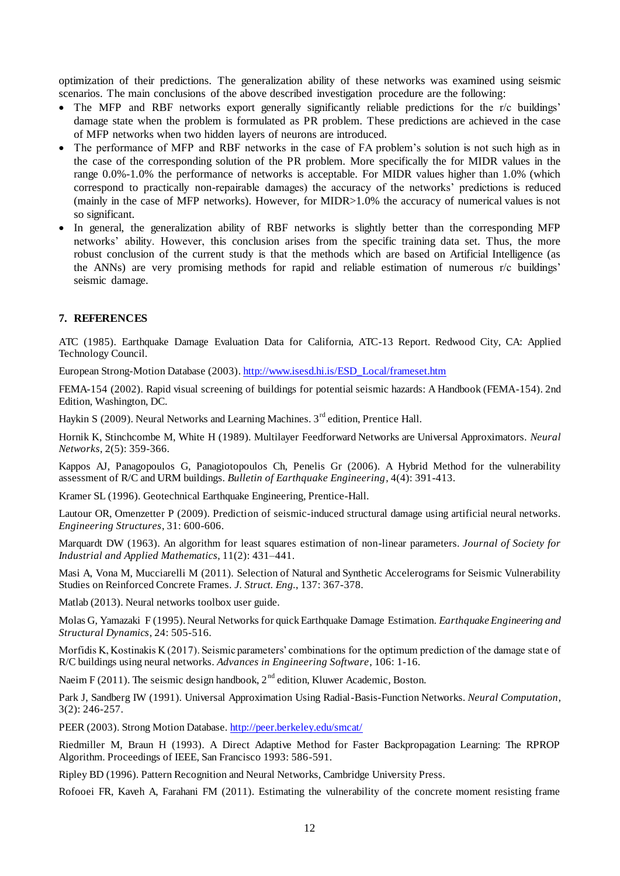optimization of their predictions. The generalization ability of these networks was examined using seismic scenarios. The main conclusions of the above described investigation procedure are the following:

- The MFP and RBF networks export generally significantly reliable predictions for the r/c buildings' damage state when the problem is formulated as PR problem. These predictions are achieved in the case of MFP networks when two hidden layers of neurons are introduced.
- The performance of MFP and RBF networks in the case of FA problem's solution is not such high as in the case of the corresponding solution of the PR problem. More specifically the for MIDR values in the range 0.0%-1.0% the performance of networks is acceptable. For MIDR values higher than 1.0% (which correspond to practically non-repairable damages) the accuracy of the networks' predictions is reduced (mainly in the case of MFP networks). However, for MIDR>1.0% the accuracy of numerical values is not so significant.
- In general, the generalization ability of RBF networks is slightly better than the corresponding MFP networks' ability. However, this conclusion arises from the specific training data set. Thus, the more robust conclusion of the current study is that the methods which are based on Artificial Intelligence (as the ANNs) are very promising methods for rapid and reliable estimation of numerous r/c buildings' seismic damage.

## **7. REFERENCES**

ATC (1985). Earthquake Damage Evaluation Data for California, ATC-13 Report. Redwood City, CA: Applied Technology Council.

European Strong-Motion Database (2003[\). http://www.isesd.hi.is/ESD\\_Local/frameset.htm](http://www.isesd.hi.is/ESD_Local/frameset.htm)

FEMA-154 (2002). Rapid visual screening of buildings for potential seismic hazards: A Handbook (FEMA-154). 2nd Edition, Washington, DC.

Haykin S (2009). Neural Networks and Learning Machines. 3<sup>rd</sup> edition, Prentice Hall.

Hornik K, Stinchcombe M, White H (1989). Multilayer Feedforward Networks are Universal Approximators. *Neural Networks*, 2(5): 359-366.

Kappos AJ, Panagopoulos G, Panagiotopoulos Ch, Penelis Gr (2006). A Hybrid Method for the vulnerability assessment of R/C and URM buildings. *Bulletin of Earthquake Engineering*, 4(4): 391-413.

Kramer SL (1996). Geotechnical Earthquake Engineering, Prentice-Hall.

Lautour OR, Omenzetter P (2009). Prediction of seismic-induced structural damage using artificial neural networks. *Engineering Structures*, 31: 600-606.

Marquardt DW (1963). An algorithm for least squares estimation of non-linear parameters. *Journal of Society for Industrial and Applied Mathematics*, 11(2): 431–441.

Masi A, Vona M, Mucciarelli M (2011). Selection of Natural and Synthetic Accelerograms for Seismic Vulnerability Studies on Reinforced Concrete Frames. *J. Struct. Eng.*, 137: 367-378.

Matlab (2013). Neural networks toolbox user guide.

Molas G, Yamazaki F (1995). Neural Networks for quick Earthquake Damage Estimation. *Earthquake Engineering and Structural Dynamics*, 24: 505-516.

Morfidis K, Kostinakis K (2017). Seismic parameters' combinations for the optimum prediction of the damage state of R/C buildings using neural networks. *Advances in Engineering Software*, 106: 1-16.

Naeim F (2011). The seismic design handbook,  $2<sup>nd</sup>$  edition, Kluwer Academic, Boston.

Park J, Sandberg IW (1991). Universal Approximation Using Radial-Basis-Function Networks. *Neural Computation*, 3(2): 246-257.

PEER (2003). Strong Motion Database[. http://peer.berkeley.edu/smcat](http://peer.berkeley.edu/smcat/)/

Riedmiller M, Braun H (1993). A Direct Adaptive Method for Faster Backpropagation Learning: The RPROP Algorithm. Proceedings of IEEE, San Francisco 1993: 586-591.

Ripley BD (1996). Pattern Recognition and Neural Networks, Cambridge University Press.

Rofooei FR, Kaveh A, Farahani FM (2011). Estimating the vulnerability of the concrete moment resisting frame